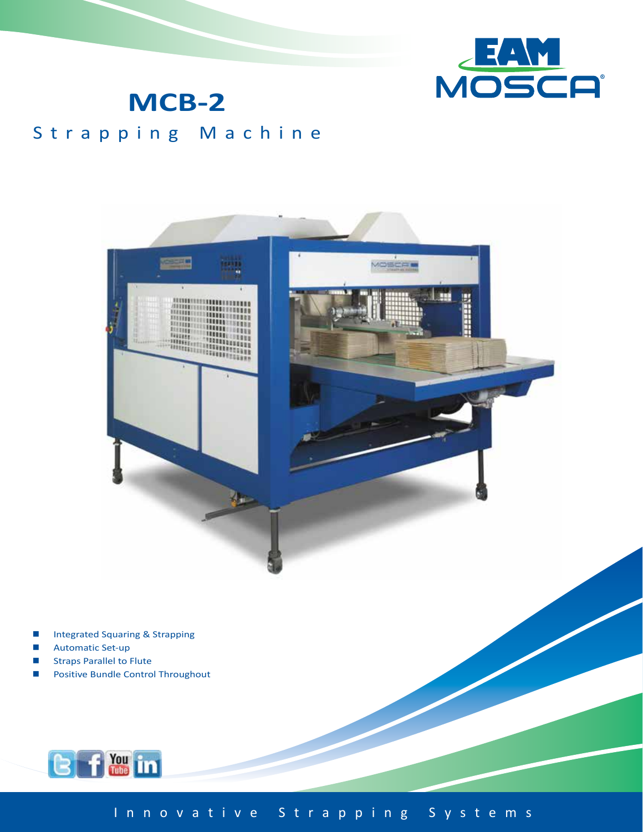

## **MCB-2**

### Strapping Machine



- **Integrated Squaring & Strapping**
- Automatic Set-up
- Straps Parallel to Flute
- Positive Bundle Control Throughout